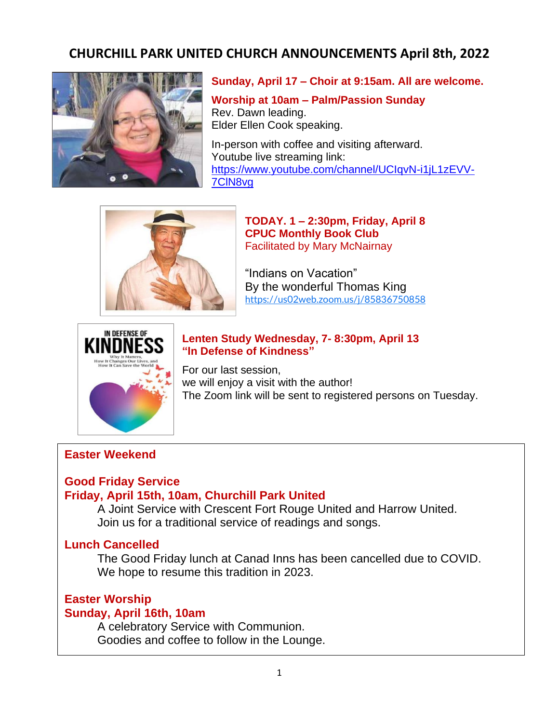# **CHURCHILL PARK UNITED CHURCH ANNOUNCEMENTS April 8th, 2022**



#### **Sunday, April 17 – Choir at 9:15am. All are welcome.**

**Worship at 10am – Palm/Passion Sunday** Rev. Dawn leading. Elder Ellen Cook speaking.

In-person with coffee and visiting afterward. Youtube live streaming link: [https://www.youtube.com/channel/UCIqvN-i1jL1zEVV-](https://www.youtube.com/channel/UCIqvN-i1jL1zEVV-7ClN8vg)[7ClN8vg](https://www.youtube.com/channel/UCIqvN-i1jL1zEVV-7ClN8vg)



**TODAY. 1 – 2:30pm, Friday, April 8 CPUC Monthly Book Club** Facilitated by Mary McNairnay

"Indians on Vacation" By the wonderful Thomas King <https://us02web.zoom.us/j/85836750858>



**Lenten Study Wednesday, 7- 8:30pm, April 13 "In Defense of Kindness"**

For our last session, we will enjoy a visit with the author! The Zoom link will be sent to registered persons on Tuesday.

#### **Easter Weekend**

# **Good Friday Service**

# **Friday, April 15th, 10am, Churchill Park United**

A Joint Service with Crescent Fort Rouge United and Harrow United. Join us for a traditional service of readings and songs.

#### **Lunch Cancelled**

The Good Friday lunch at Canad Inns has been cancelled due to COVID. We hope to resume this tradition in 2023.

# **Easter Worship**

#### **Sunday, April 16th, 10am**

A celebratory Service with Communion. Goodies and coffee to follow in the Lounge.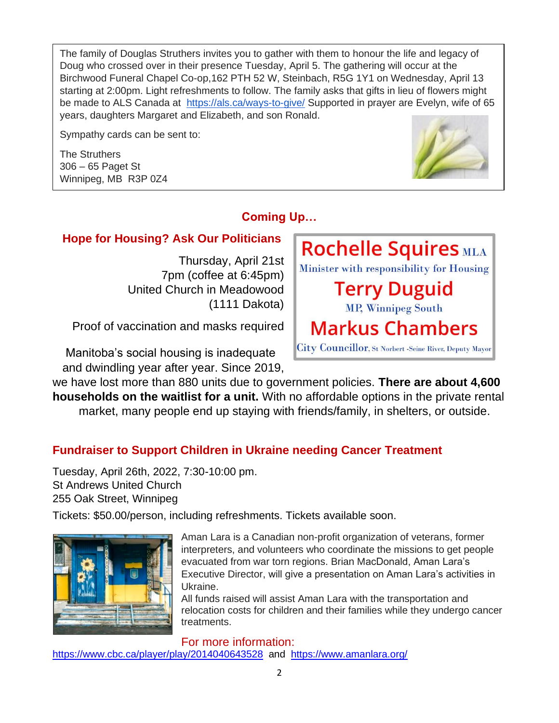The family of Douglas Struthers invites you to gather with them to honour the life and legacy of Doug who crossed over in their presence Tuesday, April 5. The gathering will occur at the Birchwood Funeral Chapel Co-op,162 PTH 52 W, Steinbach, R5G 1Y1 on Wednesday, April 13 starting at 2:00pm. Light refreshments to follow. The family asks that gifts in lieu of flowers might be made to ALS Canada at <https://als.ca/ways-to-give/> Supported in prayer are Evelyn, wife of 65 years, daughters Margaret and Elizabeth, and son Ronald.

Sympathy cards can be sent to:

The Struthers 306 – 65 Paget St Winnipeg, MB R3P 0Z4



# **Coming Up…**

# **Hope for Housing? Ask Our Politicians**

Thursday, April 21st 7pm (coffee at 6:45pm) United Church in Meadowood (1111 Dakota)

Proof of vaccination and masks required

 Manitoba's social housing is inadequate and dwindling year after year. Since 2019,



# **Fundraiser to Support Children in Ukraine needing Cancer Treatment**

Tuesday, April 26th, 2022, 7:30-10:00 pm. St Andrews United Church 255 Oak Street, Winnipeg

Tickets: \$50.00/person, including refreshments. Tickets available soon.



Aman Lara is a Canadian non-profit organization of veterans, former interpreters, and volunteers who coordinate the missions to get people evacuated from war torn regions. Brian MacDonald, Aman Lara's Executive Director, will give a presentation on Aman Lara's activities in Ukraine.

All funds raised will assist Aman Lara with the transportation and relocation costs for children and their families while they undergo cancer treatments.

#### For more information:

<https://www.cbc.ca/player/play/2014040643528> and <https://www.amanlara.org/>